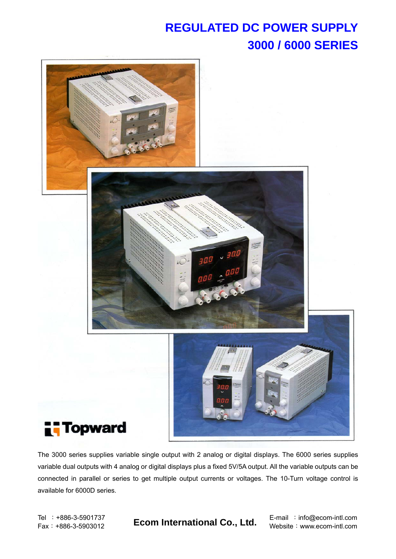## **REGULATED DC POWER SUPPLY 3000 / 6000 SERIES**



The 3000 series supplies variable single output with 2 analog or digital displays. The 6000 series supplies variable dual outputs with 4 analog or digital displays plus a fixed 5V/5A output. All the variable outputs can be connected in parallel or series to get multiple output currents or voltages. The 10-Turn voltage control is available for 6000D series.

Fax:+886-3-5903012 **Ecom International Co., Ltd.** Website:www.ecom-intl.com

Tel : +886-3-5901737 **E-mail : info@ecom-intl.com**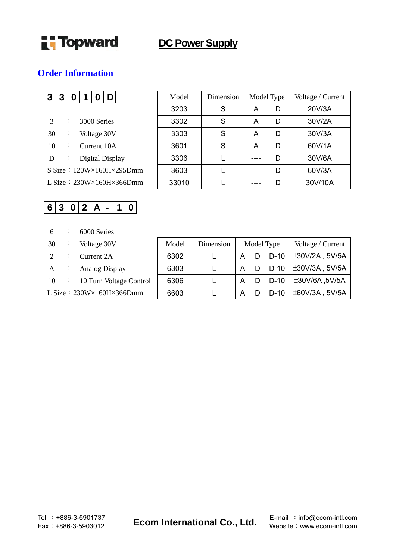

## **DC Power Supply**

#### **Order Information**

|    | 3 <sup>1</sup> | $\mathbf 0$ | $\overline{\mathbf{1}}$ | O |             |                                        |
|----|----------------|-------------|-------------------------|---|-------------|----------------------------------------|
|    |                |             |                         |   |             |                                        |
| 3  |                |             | 3000 Series             |   |             |                                        |
| 30 |                |             |                         |   | Voltage 30V |                                        |
| 10 |                |             |                         |   | Current 10A |                                        |
| D  |                |             | Digital Display         |   |             |                                        |
|    |                |             |                         |   |             | S Size: $120W \times 160H \times 295D$ |
|    |                |             |                         |   |             | L Size: $230W \times 160H \times 366D$ |

## $6|3|0|2|A|-|1|0|$

- 6 : 6000 Series
- $30 \cdot \cdot \cdot$  Voltage 30V
- $2$  : Current 2A
- A : Analog Display
- $10 \cdot 10$  Turn Voltage Control
- L Size:  $230W \times 160H \times 366Dmm$

| 3  | 3 | 0 | 1 | O | D               |                                          | Model | Dimension | Model Type |   | Voltage / Current |
|----|---|---|---|---|-----------------|------------------------------------------|-------|-----------|------------|---|-------------------|
|    |   |   |   |   |                 |                                          | 3203  | S         | A          | D | 20V/3A            |
| 3  |   | : |   |   | 3000 Series     |                                          | 3302  | S         | Α          | D | 30V/2A            |
| 30 |   |   |   |   | Voltage 30V     |                                          | 3303  | S         | A          | D | 30V/3A            |
| 10 |   | ÷ |   |   | Current 10A     |                                          | 3601  | S         | Α          | D | 60V/1A            |
| D  |   |   |   |   | Digital Display |                                          | 3306  |           |            | D | 30V/6A            |
|    |   |   |   |   |                 | $S Size: 120W \times 160H \times 295Dmm$ | 3603  |           |            | D | 60V/3A            |
|    |   |   |   |   |                 | L Size: $230W \times 160H \times 366Dmm$ | 33010 |           |            | D | 30V/10A           |

| Model | Dimension | Model Type |   |        | Voltage / Current |
|-------|-----------|------------|---|--------|-------------------|
| 6302  |           | A          |   | $D-10$ | $±30V/2A$ , 5V/5A |
| 6303  |           | А          | D | $D-10$ | ±30V/3A, 5V/5A    |
| 6306  |           | A          |   | $D-10$ | ±30V/6A, 5V/5A    |
| 6603  |           |            |   | $D-10$ | ±60V/3A, 5V/5A    |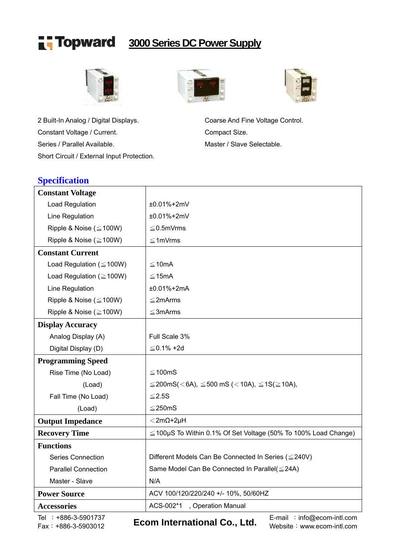

## **3000 Series DC Power Supply**



2 Built-In Analog / Digital Displays. Coarse And Fine Voltage Control. Constant Voltage / Current. Compact Size. Series / Parallel Available. Master / Slave Selectable. Short Circuit / External Input Protection.





## **Specification**

| <b>Constant Voltage</b>                     |                                                                                                  |  |  |  |  |  |
|---------------------------------------------|--------------------------------------------------------------------------------------------------|--|--|--|--|--|
| <b>Load Regulation</b>                      | ±0.01%+2mV                                                                                       |  |  |  |  |  |
| Line Regulation                             | ±0.01%+2mV                                                                                       |  |  |  |  |  |
| Ripple & Noise ( $\leq$ 100W)               | $\leq$ 0.5mVrms                                                                                  |  |  |  |  |  |
| Ripple & Noise ( $\geq$ 100W)               | $\leq$ 1mVrms                                                                                    |  |  |  |  |  |
| <b>Constant Current</b>                     |                                                                                                  |  |  |  |  |  |
| Load Regulation ( $\leq$ 100W)              | ≤10mA                                                                                            |  |  |  |  |  |
| Load Regulation ( $\geq$ 100W)              | $≤ 15mA$                                                                                         |  |  |  |  |  |
| Line Regulation                             | $±0.01\%+2mA$                                                                                    |  |  |  |  |  |
| Ripple & Noise ( $\leq$ 100W)               | $\leq$ 2mArms                                                                                    |  |  |  |  |  |
| Ripple & Noise ( $\geq$ 100W)               | $\leq$ 3mArms                                                                                    |  |  |  |  |  |
| <b>Display Accuracy</b>                     |                                                                                                  |  |  |  |  |  |
| Analog Display (A)                          | Full Scale 3%                                                                                    |  |  |  |  |  |
| Digital Display (D)                         | $≤$ 0.1% +2d                                                                                     |  |  |  |  |  |
| <b>Programming Speed</b>                    |                                                                                                  |  |  |  |  |  |
| Rise Time (No Load)                         | $\leq$ 100mS                                                                                     |  |  |  |  |  |
| (Load)                                      | $\leq$ 200mS(<6A), $\leq$ 500 mS (<10A), $\leq$ 1S( $\geq$ 10A),                                 |  |  |  |  |  |
| Fall Time (No Load)                         | $≤ 2.5S$                                                                                         |  |  |  |  |  |
| (Load)                                      | $≤ 250mS$                                                                                        |  |  |  |  |  |
| <b>Output Impedance</b>                     | $<$ 2m $\Omega$ +2µH                                                                             |  |  |  |  |  |
| <b>Recovery Time</b>                        | $\leq$ 100µS To Within 0.1% Of Set Voltage (50% To 100% Load Change)                             |  |  |  |  |  |
| <b>Functions</b>                            |                                                                                                  |  |  |  |  |  |
| <b>Series Connection</b>                    | Different Models Can Be Connected In Series (≤240V)                                              |  |  |  |  |  |
| <b>Parallel Connection</b>                  | Same Model Can Be Connected In Parallel( ≤ 24A)                                                  |  |  |  |  |  |
| Master - Slave                              | N/A                                                                                              |  |  |  |  |  |
| <b>Power Source</b>                         | ACV 100/120/220/240 +/- 10%, 50/60HZ                                                             |  |  |  |  |  |
| <b>Accessories</b>                          | ACS-002*1<br>, Operation Manual                                                                  |  |  |  |  |  |
| Tel : +886-3-5901737<br>Fax: +886-3-5903012 | E-mail : info@ecom-intl.com<br><b>Ecom International Co., Ltd.</b><br>Website: www.ecom-intl.com |  |  |  |  |  |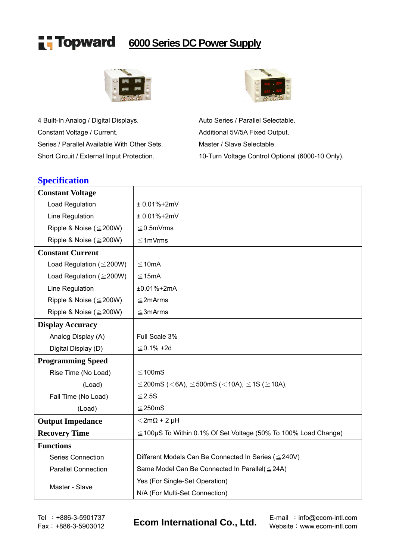

## **6000 Series DC Power Supply**



4 Built-In Analog / Digital Displays. Auto Series / Parallel Selectable. Constant Voltage / Current. Constant Voltage / Current. Series / Parallel Available With Other Sets. Master / Slave Selectable. Short Circuit / External Input Protection. 10-Turn Voltage Control Optional (6000-10 Only).



### **Specification**

| <b>Constant Voltage</b>        |                                                                      |  |  |  |  |
|--------------------------------|----------------------------------------------------------------------|--|--|--|--|
| Load Regulation                | $± 0.01% + 2mV$                                                      |  |  |  |  |
| Line Regulation                | $± 0.01% + 2mV$                                                      |  |  |  |  |
| Ripple & Noise ( $\leq$ 200W)  | $\leq$ 0.5mVrms                                                      |  |  |  |  |
| Ripple & Noise ( $\geq$ 200W)  | $\leq$ 1mVrms                                                        |  |  |  |  |
| <b>Constant Current</b>        |                                                                      |  |  |  |  |
| Load Regulation ( $\leq$ 200W) | $≤10mA$                                                              |  |  |  |  |
| Load Regulation ( $\geq$ 200W) | $≤ 15mA$                                                             |  |  |  |  |
| Line Regulation                | ±0.01%+2mA                                                           |  |  |  |  |
| Ripple & Noise ( $\leq$ 200W)  | $\leq$ 2mArms                                                        |  |  |  |  |
| Ripple & Noise ( $\geq$ 200W)  | $\leq$ 3mArms                                                        |  |  |  |  |
| <b>Display Accuracy</b>        |                                                                      |  |  |  |  |
| Analog Display (A)             | Full Scale 3%                                                        |  |  |  |  |
| Digital Display (D)            | $≤$ 0.1% +2d                                                         |  |  |  |  |
| <b>Programming Speed</b>       |                                                                      |  |  |  |  |
| Rise Time (No Load)            | $≤ 100mS$                                                            |  |  |  |  |
| (Load)                         | $\leq$ 200mS (<6A), $\leq$ 500mS (<10A), $\leq$ 1S ( $\geq$ 10A),    |  |  |  |  |
| Fall Time (No Load)            | $≤ 2.5S$                                                             |  |  |  |  |
| (Load)                         | ≤250mS                                                               |  |  |  |  |
| <b>Output Impedance</b>        | $<$ 2m $\Omega$ + 2 µH                                               |  |  |  |  |
| <b>Recovery Time</b>           | $\leq$ 100µS To Within 0.1% Of Set Voltage (50% To 100% Load Change) |  |  |  |  |
| <b>Functions</b>               |                                                                      |  |  |  |  |
| <b>Series Connection</b>       | Different Models Can Be Connected In Series (≤240V)                  |  |  |  |  |
| <b>Parallel Connection</b>     | Same Model Can Be Connected In Parallel(≤24A)                        |  |  |  |  |
|                                | Yes (For Single-Set Operation)                                       |  |  |  |  |
| Master - Slave                 | N/A (For Multi-Set Connection)                                       |  |  |  |  |

Fax:+886-3-5903012 **Ecom International Co., Ltd.** Website:www.ecom-intl.com

Tel :  $+886-3-5901737$  E-nail : info@ecom-intl.com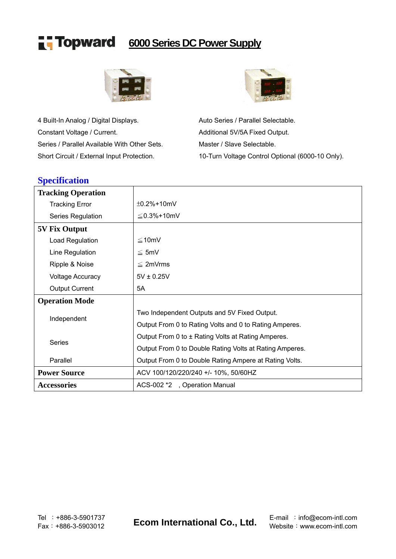

## **6000 Series DC Power Supply**



4 Built-In Analog / Digital Displays. Auto Series / Parallel Selectable. Constant Voltage / Current. Constant Voltage / Current. Series / Parallel Available With Other Sets. Master / Slave Selectable. Short Circuit / External Input Protection. 10-Turn Voltage Control Optional (6000-10 Only).



#### **Specification**

| <b>Tracking Operation</b> |                                                         |
|---------------------------|---------------------------------------------------------|
| <b>Tracking Error</b>     | $\pm$ 0.2%+10mV                                         |
| Series Regulation         | $\leq$ 0.3%+10mV                                        |
| <b>5V Fix Output</b>      |                                                         |
| Load Regulation           | $\leq 10$ mV                                            |
| Line Regulation           | $\leq$ 5mV                                              |
| Ripple & Noise            | $\leq$ 2mVrms                                           |
| <b>Voltage Accuracy</b>   | $5V \pm 0.25V$                                          |
| <b>Output Current</b>     | 5A                                                      |
| <b>Operation Mode</b>     |                                                         |
|                           | Two Independent Outputs and 5V Fixed Output.            |
| Independent               | Output From 0 to Rating Volts and 0 to Rating Amperes.  |
|                           | Output From 0 to ± Rating Volts at Rating Amperes.      |
| <b>Series</b>             | Output From 0 to Double Rating Volts at Rating Amperes. |
| Parallel                  | Output From 0 to Double Rating Ampere at Rating Volts.  |
| <b>Power Source</b>       | ACV 100/120/220/240 +/- 10%, 50/60HZ                    |
| <b>Accessories</b>        | ACS-002 *2, Operation Manual                            |

Fax:+886-3-5903012 **Ecom International Co., Ltd.** Website:www.ecom-intl.com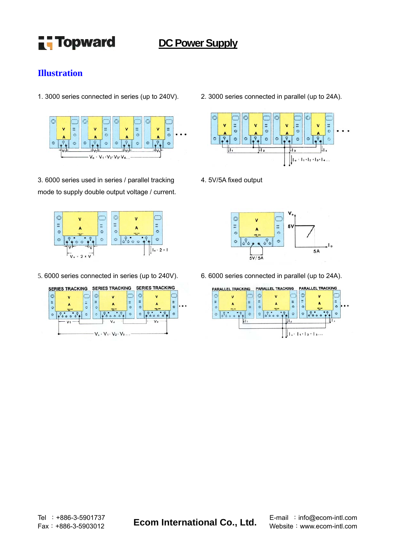

## **DC Power Supply**

#### **Illustration**



3. 6000 series used in series / parallel tracking mode to supply double output voltage / current.



5. 6000 series connected in series (up to 240V). 6. 6000 series connected in parallel (up to 24A).



1. 3000 series connected in series (up to 240V). 2. 3000 series connected in parallel (up to 24A).



4. 5V/5A fixed output